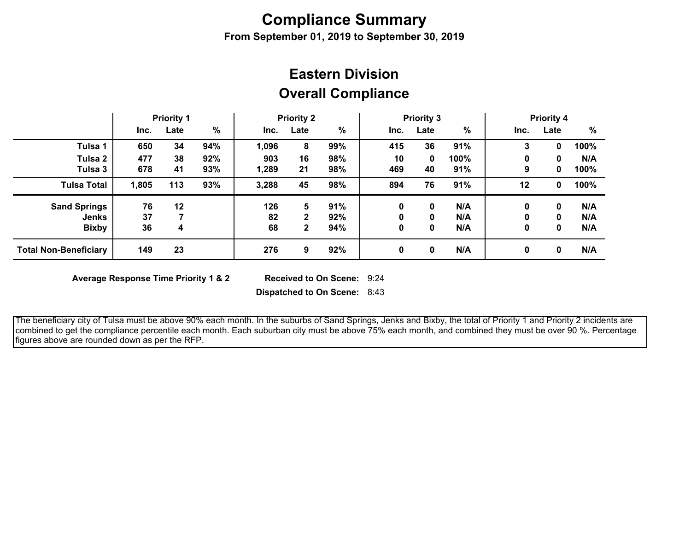## **Compliance Summary**

**From September 01, 2019 to September 30, 2019**

## **Overall Compliance Eastern Division**

|                              | <b>Priority 1</b> |      | <b>Priority 2</b> |       | <b>Priority 3</b> |      |      |      | <b>Priority 4</b> |      |      |      |
|------------------------------|-------------------|------|-------------------|-------|-------------------|------|------|------|-------------------|------|------|------|
|                              | Inc.              | Late | %                 | Inc.  | Late              | $\%$ | Inc. | Late | $\frac{0}{0}$     | Inc. | Late | %    |
| Tulsa 1                      | 650               | 34   | 94%               | 1,096 | 8                 | 99%  | 415  | 36   | 91%               | 3    |      | 100% |
| Tulsa 2                      | 477               | 38   | 92%               | 903   | 16                | 98%  | 10   | 0    | 100%              | 0    | 0    | N/A  |
| Tulsa 3                      | 678               | 41   | 93%               | 1,289 | 21                | 98%  | 469  | 40   | 91%               | 9    | 0    | 100% |
| <b>Tulsa Total</b>           | 1,805             | 113  | 93%               | 3,288 | 45                | 98%  | 894  | 76   | 91%               | 12   | 0    | 100% |
| <b>Sand Springs</b>          | 76                | 12   |                   | 126   | 5                 | 91%  | 0    | 0    | N/A               | 0    | 0    | N/A  |
| Jenks                        | 37                |      |                   | 82    | 2                 | 92%  | 0    | 0    | N/A               |      | 0    | N/A  |
| <b>Bixby</b>                 | 36                | 4    |                   | 68    | $\mathbf{2}$      | 94%  | 0    | 0    | N/A               | 0    | 0    | N/A  |
| <b>Total Non-Beneficiary</b> | 149               | 23   |                   | 276   | 9                 | 92%  | 0    | 0    | N/A               | 0    | 0    | N/A  |

**Average Response Time Priority 1 & 2** 

Received to On Scene: 9:24

**Dispatched to On Scene:** 8:43

 The beneficiary city of Tulsa must be above 90% each month. In the suburbs of Sand Springs, Jenks and Bixby, the total of Priority 1 and Priority 2 incidents are combined to get the compliance percentile each month. Each suburban city must be above 75% each month, and combined they must be over 90 %. Percentage figures above are rounded down as per the RFP.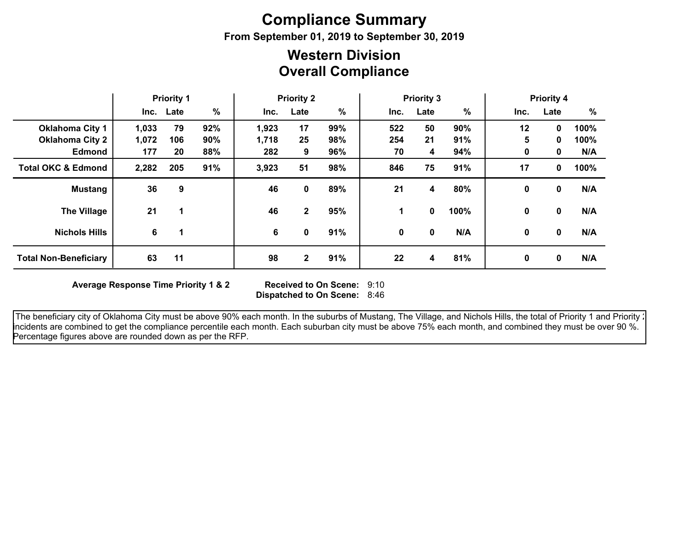# **Compliance Summary**

**From September 01, 2019 to September 30, 2019**

### **Overall Compliance Western Division**

|                               | <b>Priority 1</b> |           | <b>Priority 2</b> |       | <b>Priority 3</b> |      |      |          | <b>Priority 4</b><br>%<br>Inc.<br>Late |              |              |      |
|-------------------------------|-------------------|-----------|-------------------|-------|-------------------|------|------|----------|----------------------------------------|--------------|--------------|------|
|                               |                   | Inc. Late | $\%$              | Inc.  | Late              | $\%$ | Inc. | Late     | $\%$                                   |              |              |      |
| <b>Oklahoma City 1</b>        | 1,033             | 79        | 92%               | 1,923 | 17                | 99%  | 522  | 50       | 90%                                    | 12           | $\mathbf{0}$ | 100% |
| <b>Oklahoma City 2</b>        | 1,072             | 106       | 90%               | 1,718 | 25                | 98%  | 254  | 21       | 91%                                    | 5            | 0            | 100% |
| <b>Edmond</b>                 | 177               | 20        | 88%               | 282   | 9                 | 96%  | 70   | 4        | 94%                                    | 0            | 0            | N/A  |
| <b>Total OKC &amp; Edmond</b> | 2,282             | 205       | 91%               | 3,923 | 51                | 98%  | 846  | 75       | 91%                                    | 17           | 0            | 100% |
| <b>Mustang</b>                | 36                | 9         |                   | 46    | 0                 | 89%  | 21   | 4        | 80%                                    | 0            | 0            | N/A  |
| <b>The Village</b>            | 21                |           |                   | 46    | $\mathbf{2}$      | 95%  | 1.   | $\bf{0}$ | 100%                                   | $\mathbf{0}$ | 0            | N/A  |
| <b>Nichols Hills</b>          | 6                 |           |                   | 6     | 0                 | 91%  | 0    | $\bf{0}$ | N/A                                    | $\mathbf{0}$ | $\mathbf{0}$ | N/A  |
| <b>Total Non-Beneficiary</b>  | 63                | 11        |                   | 98    | 2                 | 91%  | 22   | 4        | 81%                                    | 0            | $\mathbf{0}$ | N/A  |

**Average Response Time Priority 1 & 2** 

**Dispatched to On Scene:** 8:46 Received to On Scene: 9:10

The beneficiary city of Oklahoma City must be above 90% each month. In the suburbs of Mustang, The Village, and Nichols Hills, the total of Priority 1 and Priority : incidents are combined to get the compliance percentile each month. Each suburban city must be above 75% each month, and combined they must be over 90 %. Percentage figures above are rounded down as per the RFP.